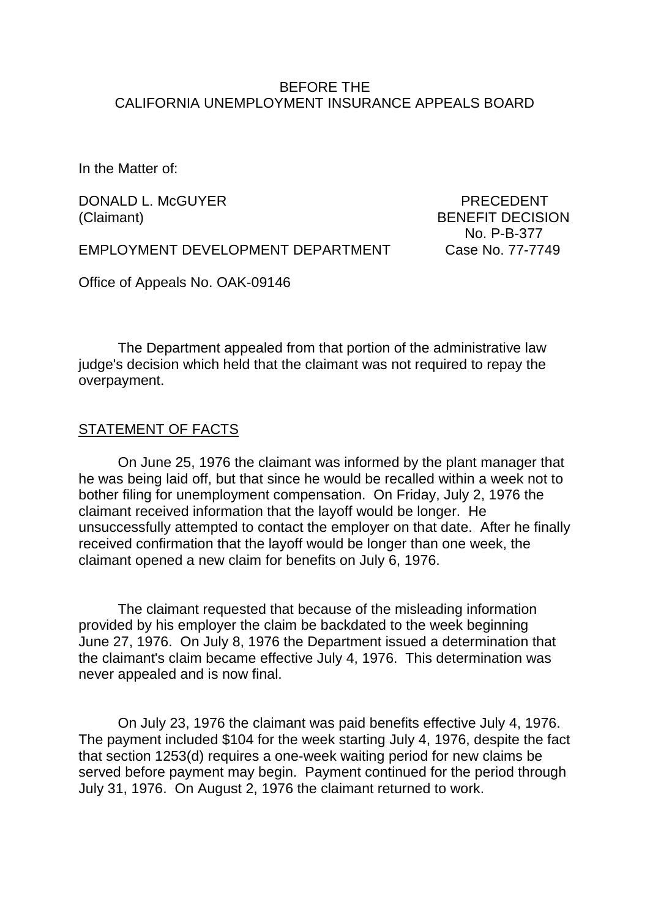#### BEFORE THE CALIFORNIA UNEMPLOYMENT INSURANCE APPEALS BOARD

In the Matter of:

DONALD L. McGUYER PRECEDENT (Claimant) BENEFIT DECISION

No. P-B-377

EMPLOYMENT DEVELOPMENT DEPARTMENT Case No. 77-7749

Office of Appeals No. OAK-09146

The Department appealed from that portion of the administrative law judge's decision which held that the claimant was not required to repay the overpayment.

#### STATEMENT OF FACTS

On June 25, 1976 the claimant was informed by the plant manager that he was being laid off, but that since he would be recalled within a week not to bother filing for unemployment compensation. On Friday, July 2, 1976 the claimant received information that the layoff would be longer. He unsuccessfully attempted to contact the employer on that date. After he finally received confirmation that the layoff would be longer than one week, the claimant opened a new claim for benefits on July 6, 1976.

The claimant requested that because of the misleading information provided by his employer the claim be backdated to the week beginning June 27, 1976. On July 8, 1976 the Department issued a determination that the claimant's claim became effective July 4, 1976. This determination was never appealed and is now final.

On July 23, 1976 the claimant was paid benefits effective July 4, 1976. The payment included \$104 for the week starting July 4, 1976, despite the fact that section 1253(d) requires a one-week waiting period for new claims be served before payment may begin. Payment continued for the period through July 31, 1976. On August 2, 1976 the claimant returned to work.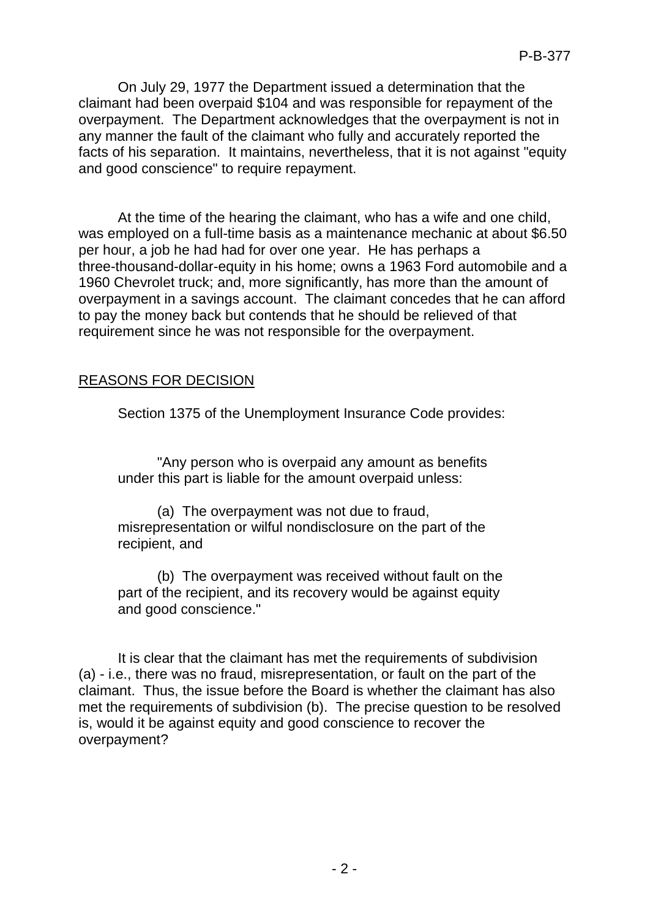On July 29, 1977 the Department issued a determination that the claimant had been overpaid \$104 and was responsible for repayment of the overpayment. The Department acknowledges that the overpayment is not in any manner the fault of the claimant who fully and accurately reported the facts of his separation. It maintains, nevertheless, that it is not against "equity and good conscience" to require repayment.

At the time of the hearing the claimant, who has a wife and one child, was employed on a full-time basis as a maintenance mechanic at about \$6.50 per hour, a job he had had for over one year. He has perhaps a three-thousand-dollar-equity in his home; owns a 1963 Ford automobile and a 1960 Chevrolet truck; and, more significantly, has more than the amount of overpayment in a savings account. The claimant concedes that he can afford to pay the money back but contends that he should be relieved of that requirement since he was not responsible for the overpayment.

## REASONS FOR DECISION

Section 1375 of the Unemployment Insurance Code provides:

"Any person who is overpaid any amount as benefits under this part is liable for the amount overpaid unless:

(a) The overpayment was not due to fraud, misrepresentation or wilful nondisclosure on the part of the recipient, and

(b) The overpayment was received without fault on the part of the recipient, and its recovery would be against equity and good conscience."

It is clear that the claimant has met the requirements of subdivision (a) - i.e., there was no fraud, misrepresentation, or fault on the part of the claimant. Thus, the issue before the Board is whether the claimant has also met the requirements of subdivision (b). The precise question to be resolved is, would it be against equity and good conscience to recover the overpayment?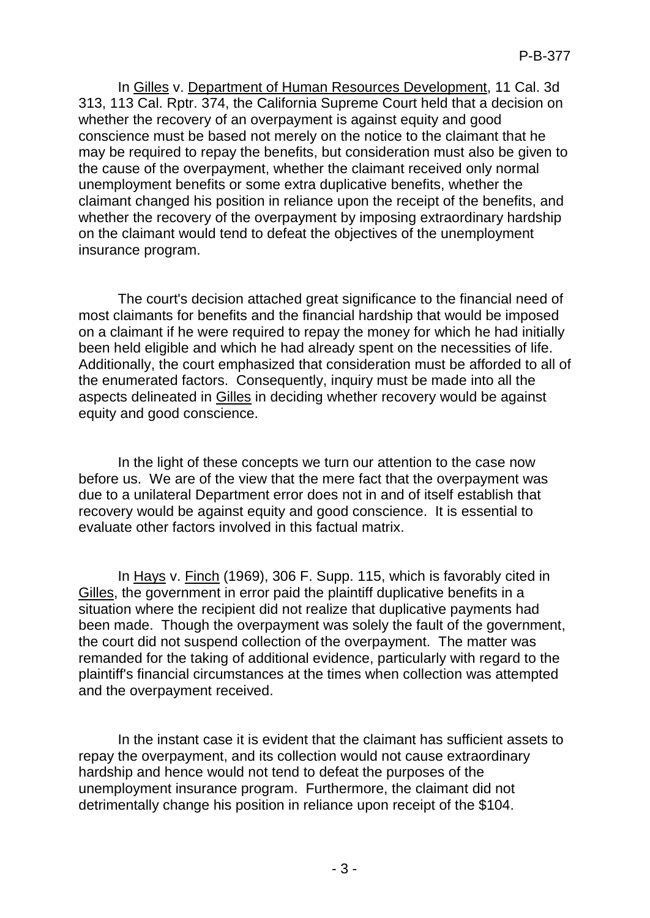In Gilles v. Department of Human Resources Development, 11 Cal. 3d 313, 113 Cal. Rptr. 374, the California Supreme Court held that a decision on whether the recovery of an overpayment is against equity and good conscience must be based not merely on the notice to the claimant that he may be required to repay the benefits, but consideration must also be given to the cause of the overpayment, whether the claimant received only normal unemployment benefits or some extra duplicative benefits, whether the claimant changed his position in reliance upon the receipt of the benefits, and whether the recovery of the overpayment by imposing extraordinary hardship on the claimant would tend to defeat the objectives of the unemployment insurance program.

The court's decision attached great significance to the financial need of most claimants for benefits and the financial hardship that would be imposed on a claimant if he were required to repay the money for which he had initially been held eligible and which he had already spent on the necessities of life. Additionally, the court emphasized that consideration must be afforded to all of the enumerated factors. Consequently, inquiry must be made into all the aspects delineated in Gilles in deciding whether recovery would be against equity and good conscience.

In the light of these concepts we turn our attention to the case now before us. We are of the view that the mere fact that the overpayment was due to a unilateral Department error does not in and of itself establish that recovery would be against equity and good conscience. It is essential to evaluate other factors involved in this factual matrix.

In Hays v. Finch (1969), 306 F. Supp. 115, which is favorably cited in Gilles, the government in error paid the plaintiff duplicative benefits in a situation where the recipient did not realize that duplicative payments had been made. Though the overpayment was solely the fault of the government, the court did not suspend collection of the overpayment. The matter was remanded for the taking of additional evidence, particularly with regard to the plaintiff's financial circumstances at the times when collection was attempted and the overpayment received.

In the instant case it is evident that the claimant has sufficient assets to repay the overpayment, and its collection would not cause extraordinary hardship and hence would not tend to defeat the purposes of the unemployment insurance program. Furthermore, the claimant did not detrimentally change his position in reliance upon receipt of the \$104.